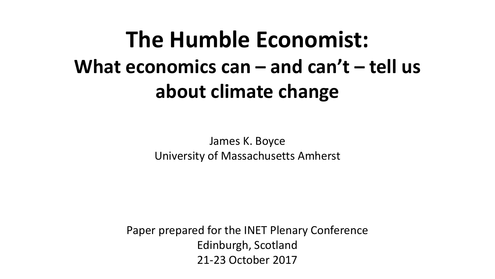# **The Humble Economist: What economics can – and can't – tell us about climate change**

James K. Boyce University of Massachusetts Amherst

Paper prepared for the INET Plenary Conference Edinburgh, Scotland 21-23 October 2017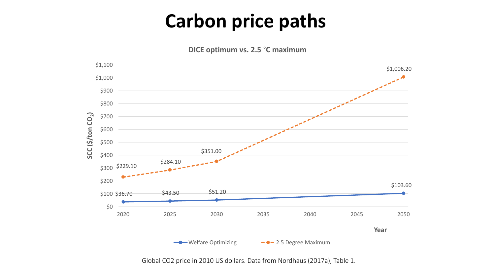#### **Carbon price paths**

**DICE** optimum vs. 2.5 °C maximum



Global CO2 price in 2010 US dollars. Data from Nordhaus (2017a), Table 1.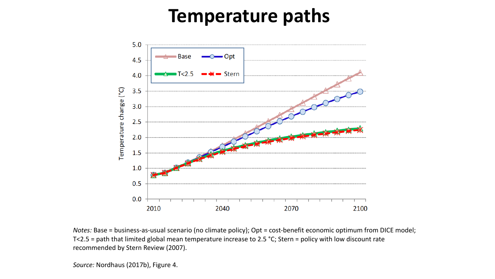#### **Temperature paths**



*Notes:* Base = business-as-usual scenario (no climate policy); Opt = cost-benefit economic optimum from DICE model; T<2.5 = path that limited global mean temperature increase to 2.5 °C; Stern = policy with low discount rate recommended by Stern Review (2007).

Source: Nordhaus (2017b), Figure 4.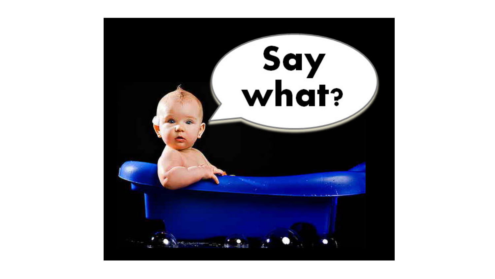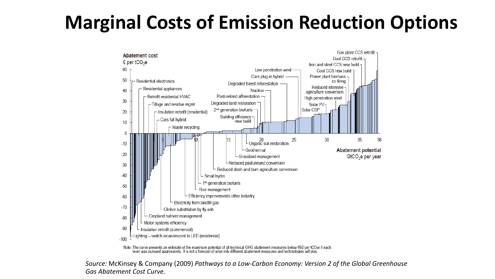### **Marginal Costs of Emission Reduction Options**



lever was pursued aggressively. It is not a forecast of what role different abatement measures and technologies will play

*Source:* McKinsey & Company (2009) *Pathways to a Low-Carbon Economy: Version 2 of the Global Greenhouse Gas Abatement Cost Curve.*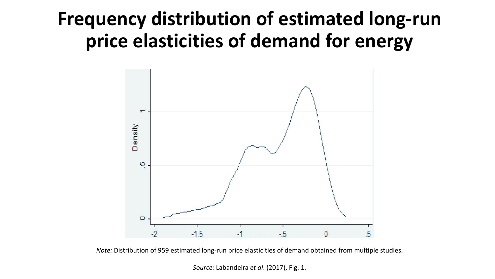#### **Frequency distribution of estimated long-run** price elasticities of demand for energy



*Note:* Distribution of 959 estimated long-run price elasticities of demand obtained from multiple studies.

*Source:* Labandeira *et al.* (2017), Fig. 1.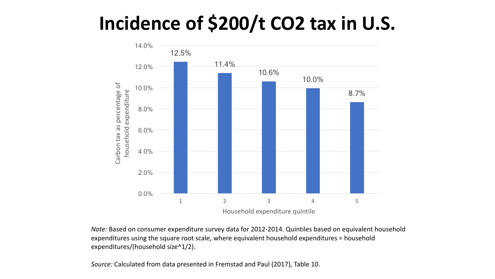### Incidence of \$200/t CO2 tax in U.S.



*Note:* Based on consumer expenditure survey data for 2012-2014. Quintiles based on equivalent household expenditures using the square root scale, where equivalent household expenditures = household expenditures/(household size^1/2).

*Source:* Calculated from data presented in Fremstad and Paul (2017), Table 10.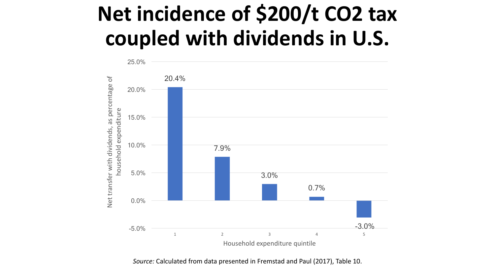## **Net incidence of \$200/t CO2 tax** coupled with dividends in U.S.



*Source:* Calculated from data presented in Fremstad and Paul (2017), Table 10.